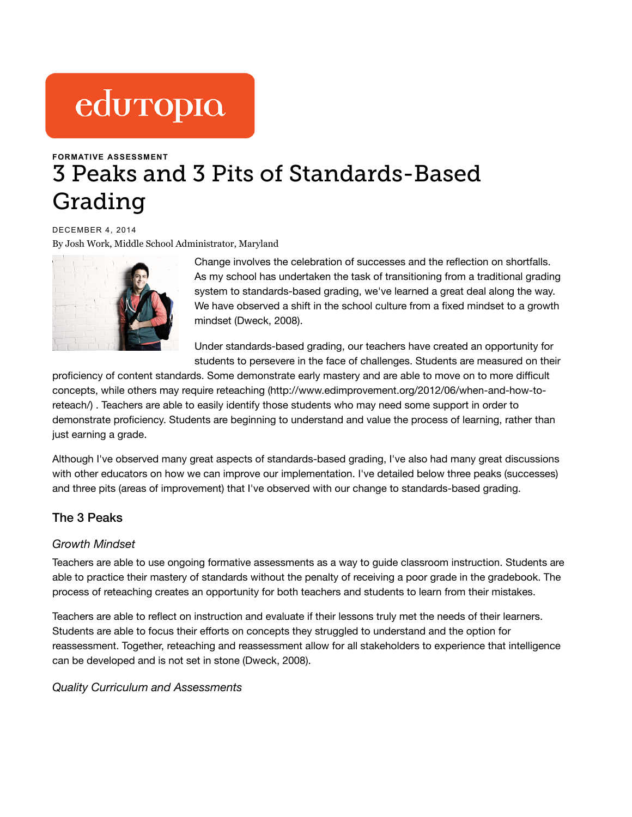# eduropio

# **FORMATIVE [ASSESSMENT](https://www.edutopia.org/blogs/tag/formative-assessment)** 3 Peaks and 3 Pits of Standards-Based Grading

DECEMBER 4, 2014 [By Josh Work, M](https://www.edutopia.org/users/josh-work)iddle School Administrator, Maryland



Change involves the celebration of successes and the reflection on shortfalls. As my school has undertaken the task of transitioning from a traditional grading system to standards-based grading, we've learned a great deal along the way. We have observed a shift in the school culture from a fixed mindset to a growth mindset (Dweck, 2008).

Under standards-based grading, our teachers have created an opportunity for students to persevere in the face of challenges. Students are measured on their

proficiency of content standards. Some demonstrate early mastery and are able to move on to more difficult concepts, while others may require reteaching [\(http://www.edimprovement.org/2012/06/when-and-how-to](http://www.edimprovement.org/2012/06/when-and-how-to-reteach/)reteach/) . Teachers are able to easily identify those students who may need some support in order to demonstrate proficiency. Students are beginning to understand and value the process of learning, rather than just earning a grade.

Although I've observed many great aspects of standards-based grading, I've also had many great discussions with other educators on how we can improve our implementation. I've detailed below three peaks (successes) and three pits (areas of improvement) that I've observed with our change to standards-based grading.

# The 3 Peaks

## *Growth Mindset*

Teachers are able to use ongoing formative assessments as a way to guide classroom instruction. Students are able to practice their mastery of standards without the penalty of receiving a poor grade in the gradebook. The process of reteaching creates an opportunity for both teachers and students to learn from their mistakes.

Teachers are able to reflect on instruction and evaluate if their lessons truly met the needs of their learners. Students are able to focus their efforts on concepts they struggled to understand and the option for reassessment. Together, reteaching and reassessment allow for all stakeholders to experience that intelligence can be developed and is not set in stone (Dweck, 2008).

*Quality Curriculum and Assessments*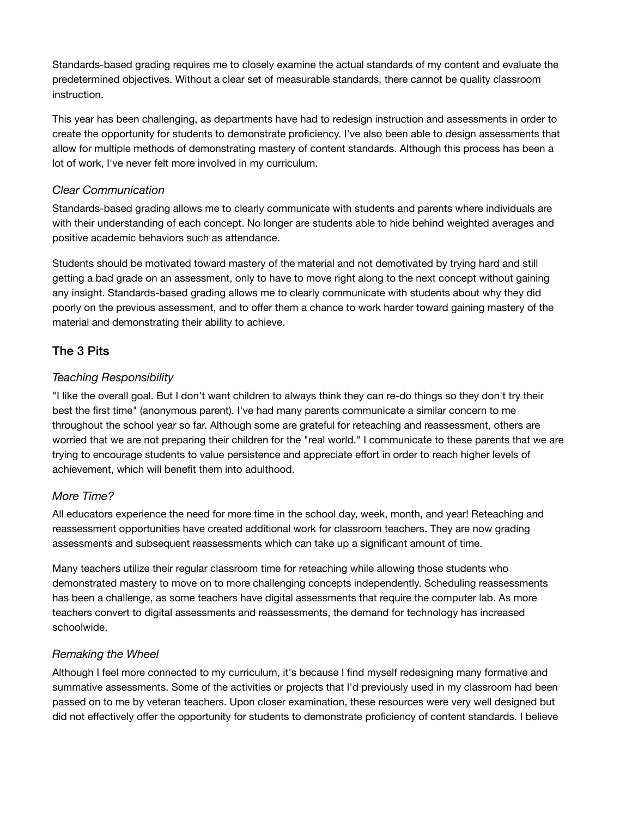Standards-based grading requires me to closely examine the actual standards of my content and evaluate the predetermined objectives. Without a clear set of measurable standards, there cannot be quality classroom instruction.

This year has been challenging, as departments have had to redesign instruction and assessments in order to create the opportunity for students to demonstrate proficiency. I've also been able to design assessments that allow for multiple methods of demonstrating mastery of content standards. Although this process has been a lot of work, I've never felt more involved in my curriculum.

#### *Clear Communication*

Standards-based grading allows me to clearly communicate with students and parents where individuals are with their understanding of each concept. No longer are students able to hide behind weighted averages and positive academic behaviors such as attendance.

Students should be motivated toward mastery of the material and not demotivated by trying hard and still getting a bad grade on an assessment, only to have to move right along to the next concept without gaining any insight. Standards-based grading allows me to clearly communicate with students about why they did poorly on the previous assessment, and to offer them a chance to work harder toward gaining mastery of the material and demonstrating their ability to achieve.

# The 3 Pits

## *Teaching Responsibility*

"I like the overall goal. But I don't want children to always think they can re-do things so they don't try their best the first time" (anonymous parent). I've had many parents communicate a similar concern to me throughout the school year so far. Although some are grateful for reteaching and reassessment, others are worried that we are not preparing their children for the "real world." I communicate to these parents that we are trying to encourage students to value persistence and appreciate effort in order to reach higher levels of achievement, which will benefit them into adulthood.

## *More Time?*

All educators experience the need for more time in the school day, week, month, and year! Reteaching and reassessment opportunities have created additional work for classroom teachers. They are now grading assessments and subsequent reassessments which can take up a significant amount of time.

Many teachers utilize their regular classroom time for reteaching while allowing those students who demonstrated mastery to move on to more challenging concepts independently. Scheduling reassessments has been a challenge, as some teachers have digital assessments that require the computer lab. As more teachers convert to digital assessments and reassessments, the demand for technology has increased schoolwide.

## *Remaking the Wheel*

Although I feel more connected to my curriculum, it's because I find myself redesigning many formative and summative assessments. Some of the activities or projects that I'd previously used in my classroom had been passed on to me by veteran teachers. Upon closer examination, these resources were very well designed but did not effectively offer the opportunity for students to demonstrate proficiency of content standards. I believe